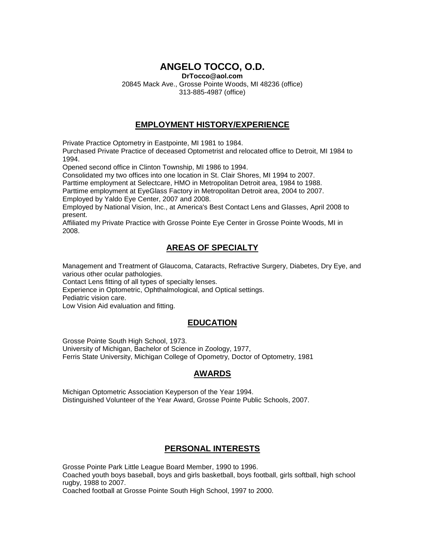# **ANGELO TOCCO, O.D.**

**DrTocco@aol.com**

20845 Mack Ave., Grosse Pointe Woods, MI 48236 (office) 313-885-4987 (office)

#### **EMPLOYMENT HISTORY/EXPERIENCE**

Private Practice Optometry in Eastpointe, MI 1981 to 1984.

Purchased Private Practice of deceased Optometrist and relocated office to Detroit, MI 1984 to 1994.

Opened second office in Clinton Township, MI 1986 to 1994.

Consolidated my two offices into one location in St. Clair Shores, MI 1994 to 2007.

Parttime employment at Selectcare, HMO in Metropolitan Detroit area, 1984 to 1988.

Parttime employment at EyeGlass Factory in Metropolitan Detroit area, 2004 to 2007. Employed by Yaldo Eye Center, 2007 and 2008.

Employed by National Vision, Inc., at America's Best Contact Lens and Glasses, April 2008 to present.

Affiliated my Private Practice with Grosse Pointe Eye Center in Grosse Pointe Woods, MI in 2008.

## **AREAS OF SPECIALTY**

Management and Treatment of Glaucoma, Cataracts, Refractive Surgery, Diabetes, Dry Eye, and various other ocular pathologies.

Contact Lens fitting of all types of specialty lenses.

Experience in Optometric, Ophthalmological, and Optical settings.

Pediatric vision care.

Low Vision Aid evaluation and fitting.

### **EDUCATION**

Grosse Pointe South High School, 1973. University of Michigan, Bachelor of Science in Zoology, 1977, Ferris State University, Michigan College of Opometry, Doctor of Optometry, 1981

### **AWARDS**

Michigan Optometric Association Keyperson of the Year 1994. Distinguished Volunteer of the Year Award, Grosse Pointe Public Schools, 2007.

### **PERSONAL INTERESTS**

Grosse Pointe Park Little League Board Member, 1990 to 1996. Coached youth boys baseball, boys and girls basketball, boys football, girls softball, high school

rugby, 1988 to 2007.

Coached football at Grosse Pointe South High School, 1997 to 2000.